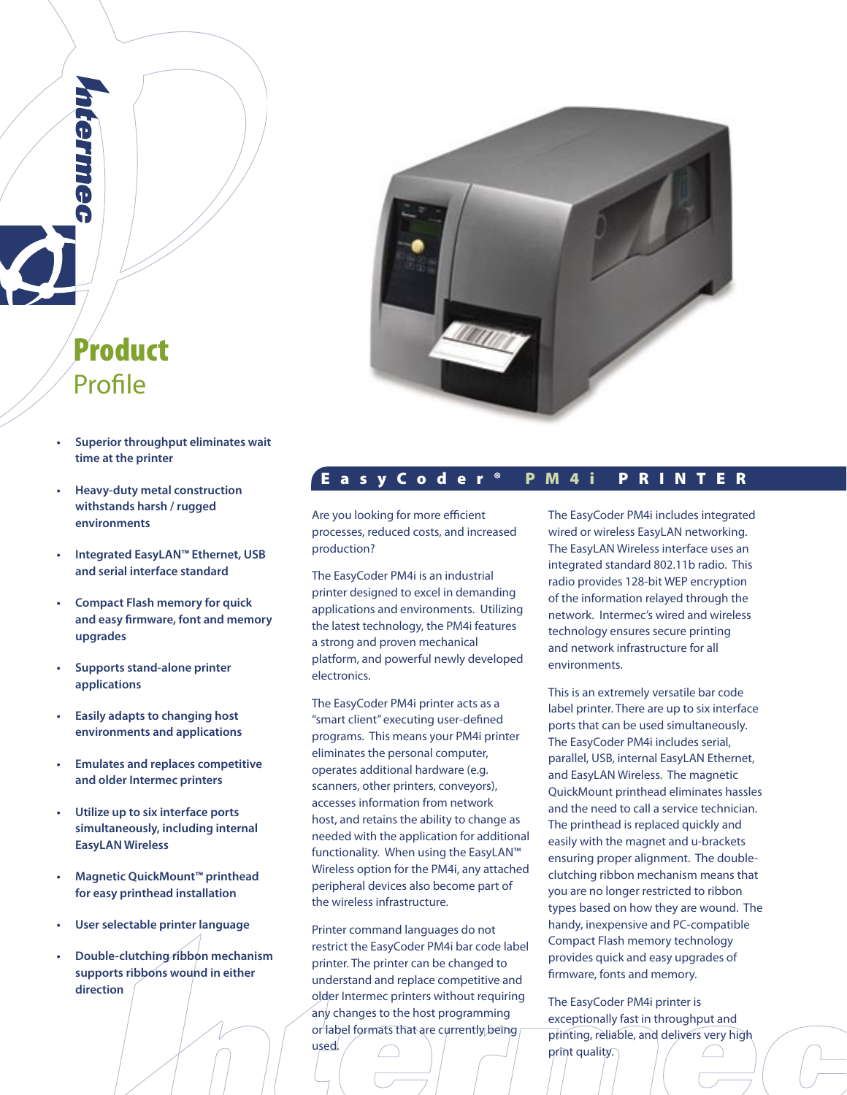

- **• Superior throughput eliminates wait time at the printer**
- **• Heavy-duty metal construction withstands harsh / rugged environments**
- **• Integrated EasyLAN™ Ethernet, USB and serial interface standard**
- **• Compact Flash memory for quick and easy firmware, font and memory upgrades**
- **• Supports stand-alone printer applications**
- **• Easily adapts to changing host environments and applications**
- **• Emulates and replaces competitive and older Intermec printers**
- **• Utilize up to six interface ports simultaneously, including internal EasyLAN Wireless**
- **• Magnetic QuickMount™ printhead for easy printhead installation**
- **• User selectable printer language**
- **• Double-clutching ribbon mechanism supports ribbons wound in either direction**



# E a s y C o d e r ® P M 4 i P R I N T E R

Are you looking for more efficient processes, reduced costs, and increased production?

The EasyCoder PM4i is an industrial printer designed to excel in demanding applications and environments. Utilizing the latest technology, the PM4i features a strong and proven mechanical platform, and powerful newly developed electronics.

The EasyCoder PM4i printer acts as a "smart client" executing user-defined programs. This means your PM4i printer eliminates the personal computer, operates additional hardware (e.g. scanners, other printers, conveyors), accesses information from network host, and retains the ability to change as needed with the application for additional functionality. When using the EasyLAN™ Wireless option for the PM4i, any attached peripheral devices also become part of the wireless infrastructure.

Printer command languages do not restrict the EasyCoder PM4i bar code label printer. The printer can be changed to understand and replace competitive and older Intermec printers without requiring any changes to the host programming or label formats that are currently being

used.

The EasyCoder PM4i includes integrated wired or wireless EasyLAN networking. The EasyLAN Wireless interface uses an integrated standard 802.11b radio. This radio provides 128-bit WEP encryption of the information relayed through the network. Intermec's wired and wireless technology ensures secure printing and network infrastructure for all environments.

This is an extremely versatile bar code label printer. There are up to six interface ports that can be used simultaneously. The EasyCoder PM4i includes serial, parallel, USB, internal EasyLAN Ethernet, and EasyLAN Wireless. The magnetic QuickMount printhead eliminates hassles and the need to call a service technician. The printhead is replaced quickly and easily with the magnet and u-brackets ensuring proper alignment. The doubleclutching ribbon mechanism means that you are no longer restricted to ribbon types based on how they are wound. The handy, inexpensive and PC-compatible Compact Flash memory technology provides quick and easy upgrades of firmware, fonts and memory.

The EasyCoder PM4i printer is exceptionally fast in throughput and printing, reliable, and delivers very high print quality.